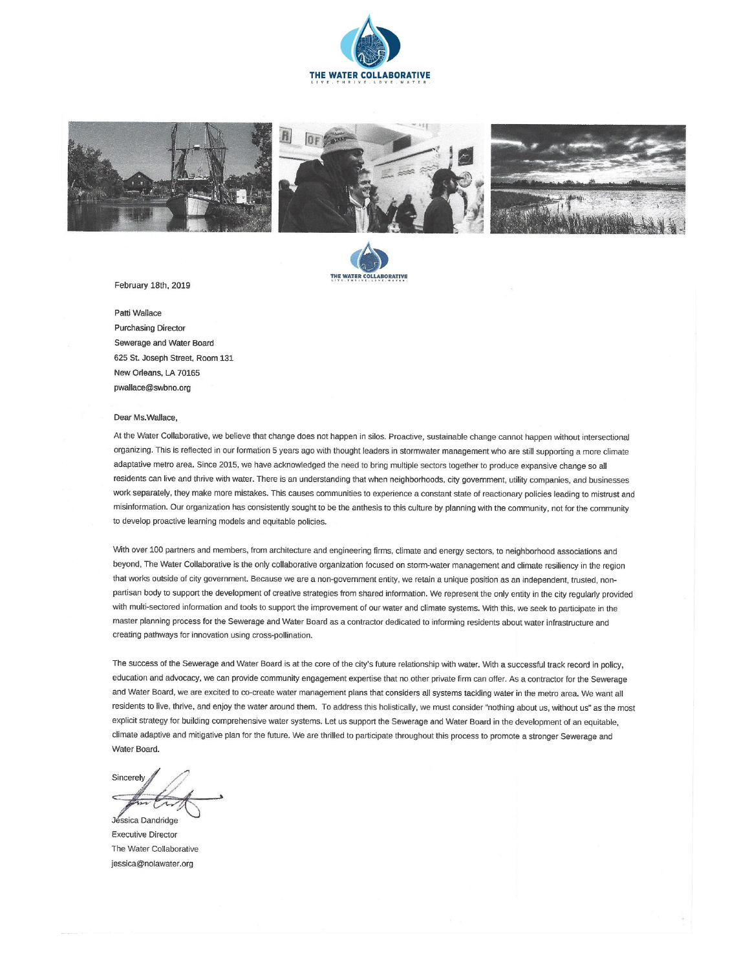





February 18th, 2019

Patti Wallace Purchasing Director Sewerage and Water Board 625 St. Joseph Street, Room 131 New Orleans, LA 70165 pwallace@swbno.org

#### Dear Ms.Wallace,

At the Water Collaborative, we believe that change does not happen in silos. Proactive, sustainable change cannot happen without intersectional organizing. This is reflected in our formation 5 years ago with thought leaders in stormwater management who are still supporting a more climate adaptative metro area. Since 2015, we have acknowledged the need to bring multiple sectors together to produce expansive change so all residents can live and thrive with water. There is an understanding that when neighborhoods, city government, utility companies, and businesses work separately, they make more mistakes. This causes communities to experience a constant state of reactionary policies leading to mistrust and misinformation. Our organization has consistently sought to be the anthesis to this culture by planning with the community, not for the community to develop proactive learning models and equitable policies.

With over 100 partners and members, from architecture and engineering firms, climate and energy sectors, to neighborhood associations and beyond, The Water Collaborative is the only collaborative organization focused on storm-water management and climate resiliency in the region that works outside of city government. Because we are a non-government entity, we retain a unique position as an independent, trusted, nonpartisan body to support the development of creative strategies from shared information. We represent the only entity in the city regularly provided with multi-sectored information and tools to support the improvement of our water and climate systems. With this, we seek to participate in the master planning process for the Sewerage and Water Board as a contractor dedicated to informing residents about water infrastructure and creating pathways for innovation using cross-pollination.

The success of the Sewerage and Water Board is at the core of the city's future relationship with water. With a successful track record in policy, education and advocacy, we can provide community engagement expertise that no other private firm can offer. As a contractor for the Sewerage and Water Board, we are excited to co-create water management plans that considers all systems tackling water in the metro area. We want all residents to live, thrive, and enjoy the water around them. To address this holistically, we must consider "nothing about us, without us" as the most explicit strategy for building comprehensive water systems. Let us support the Sewerage and Water Board in the development of an equitable, climate adaptive and mitigative plan for the future. We are thrilled to participate throughout this process to promote a stronger Sewerage and Water Board.

Sincerely Jéssica Dandridge

**Executive Director** The Water Collaborative jessica@nolawater.org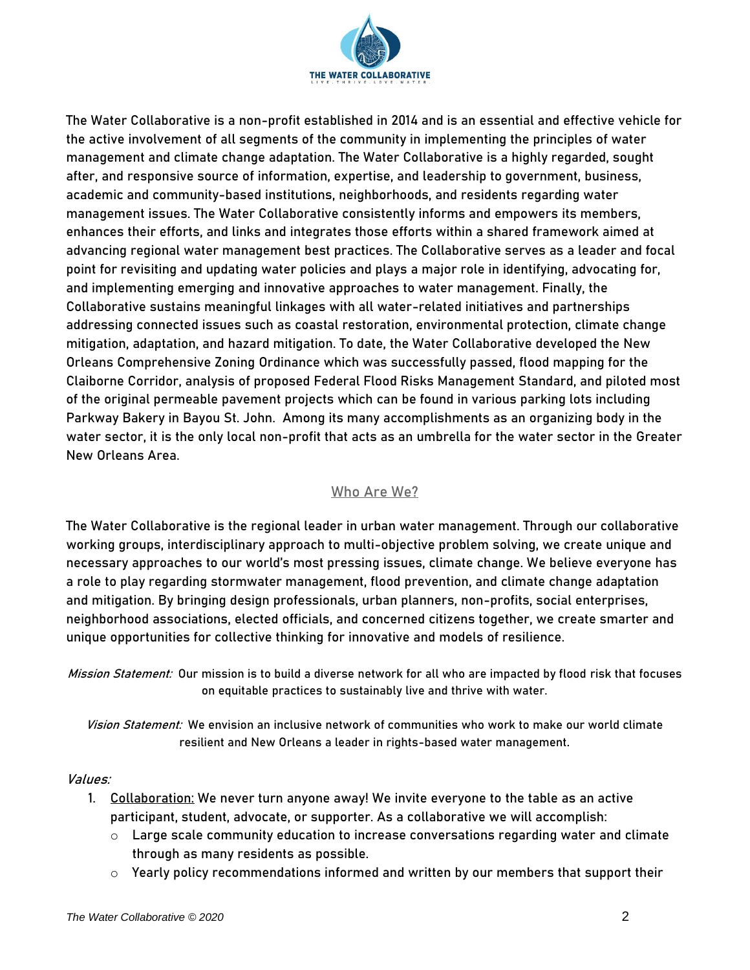

The Water Collaborative is a non-profit established in 2014 and is an essential and effective vehicle for the active involvement of all segments of the community in implementing the principles of water management and climate change adaptation. The Water Collaborative is a highly regarded, sought after, and responsive source of information, expertise, and leadership to government, business, academic and community-based institutions, neighborhoods, and residents regarding water management issues. The Water Collaborative consistently informs and empowers its members, enhances their efforts, and links and integrates those efforts within a shared framework aimed at advancing regional water management best practices. The Collaborative serves as a leader and focal point for revisiting and updating water policies and plays a major role in identifying, advocating for, and implementing emerging and innovative approaches to water management. Finally, the Collaborative sustains meaningful linkages with all water-related initiatives and partnerships addressing connected issues such as coastal restoration, environmental protection, climate change mitigation, adaptation, and hazard mitigation. To date, the Water Collaborative developed the New Orleans Comprehensive Zoning Ordinance which was successfully passed, flood mapping for the Claiborne Corridor, analysis of proposed Federal Flood Risks Management Standard, and piloted most of the original permeable pavement projects which can be found in various parking lots including Parkway Bakery in Bayou St. John. Among its many accomplishments as an organizing body in the water sector, it is the only local non-profit that acts as an umbrella for the water sector in the Greater New Orleans Area.

# Who Are We?

The Water Collaborative is the regional leader in urban water management. Through our collaborative working groups, interdisciplinary approach to multi-objective problem solving, we create unique and necessary approaches to our world's most pressing issues, climate change. We believe everyone has a role to play regarding stormwater management, flood prevention, and climate change adaptation and mitigation. By bringing design professionals, urban planners, non-profits, social enterprises, neighborhood associations, elected officials, and concerned citizens together, we create smarter and unique opportunities for collective thinking for innovative and models of resilience.

Mission Statement: Our mission is to build a diverse network for all who are impacted by flood risk that focuses on equitable practices to sustainably live and thrive with water.

Vision Statement: We envision an inclusive network of communities who work to make our world climate resilient and New Orleans a leader in rights-based water management.

### Values:

- 1. Collaboration: We never turn anyone away! We invite everyone to the table as an active participant, student, advocate, or supporter. As a collaborative we will accomplish:
	- o Large scale community education to increase conversations regarding water and climate through as many residents as possible.
	- $\circ$  Yearly policy recommendations informed and written by our members that support their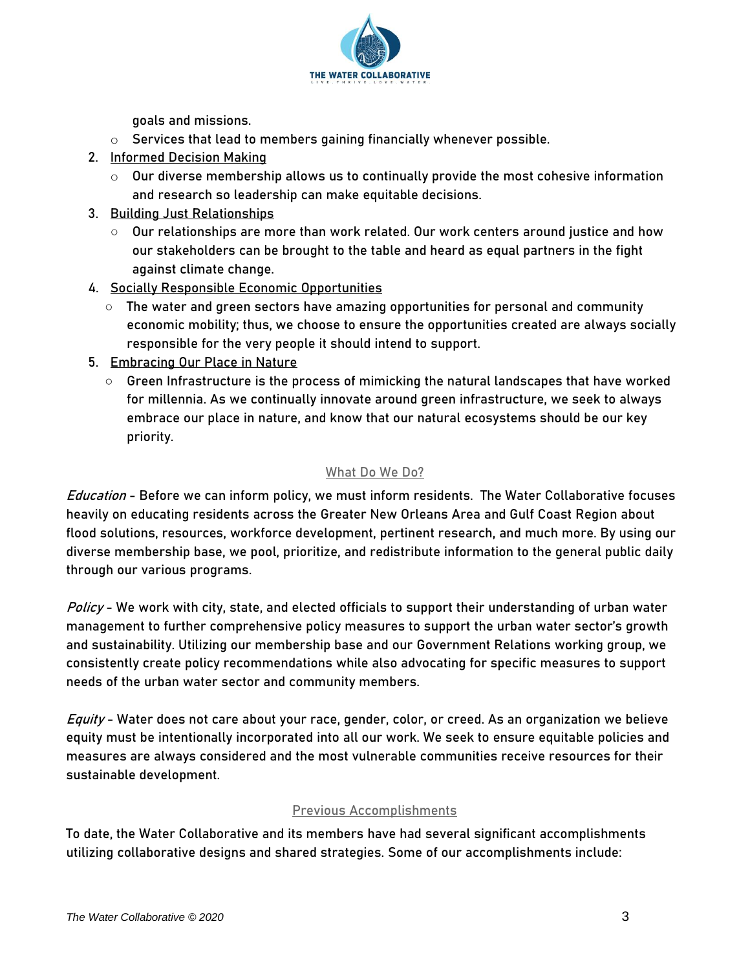

goals and missions.

- $\circ$  Services that lead to members gaining financially whenever possible.
- 2. Informed Decision Making
	- $\circ$  Our diverse membership allows us to continually provide the most cohesive information and research so leadership can make equitable decisions.
- 3. Building Just Relationships
	- $\circ$  Our relationships are more than work related. Our work centers around justice and how our stakeholders can be brought to the table and heard as equal partners in the fight against climate change.
- 4. Socially Responsible Economic Opportunities
	- The water and green sectors have amazing opportunities for personal and community economic mobility; thus, we choose to ensure the opportunities created are always socially responsible for the very people it should intend to support.
- 5. Embracing Our Place in Nature
	- $\circ$  Green Infrastructure is the process of mimicking the natural landscapes that have worked for millennia. As we continually innovate around green infrastructure, we seek to always embrace our place in nature, and know that our natural ecosystems should be our key priority.

### What Do We Do?

Education - Before we can inform policy, we must inform residents. The Water Collaborative focuses heavily on educating residents across the Greater New Orleans Area and Gulf Coast Region about flood solutions, resources, workforce development, pertinent research, and much more. By using our diverse membership base, we pool, prioritize, and redistribute information to the general public daily through our various programs.

Policy - We work with city, state, and elected officials to support their understanding of urban water management to further comprehensive policy measures to support the urban water sector's growth and sustainability. Utilizing our membership base and our Government Relations working group, we consistently create policy recommendations while also advocating for specific measures to support needs of the urban water sector and community members.

Equity - Water does not care about your race, gender, color, or creed. As an organization we believe equity must be intentionally incorporated into all our work. We seek to ensure equitable policies and measures are always considered and the most vulnerable communities receive resources for their sustainable development.

### Previous Accomplishments

To date, the Water Collaborative and its members have had several significant accomplishments utilizing collaborative designs and shared strategies. Some of our accomplishments include: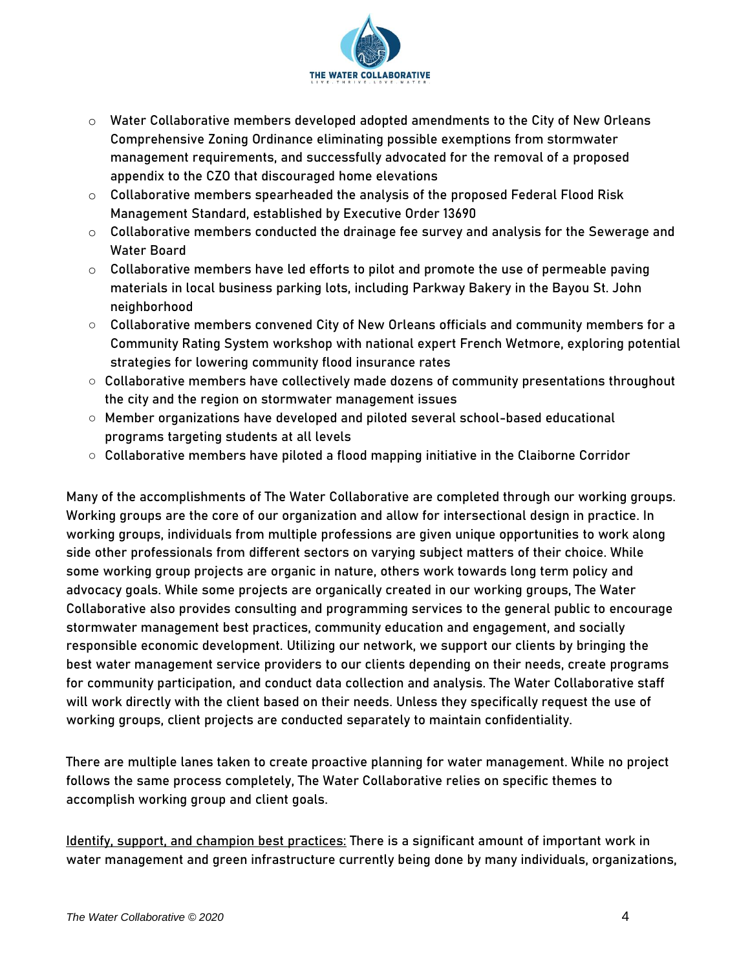

- $\circ$  Water Collaborative members developed adopted amendments to the City of New Orleans Comprehensive Zoning Ordinance eliminating possible exemptions from stormwater management requirements, and successfully advocated for the removal of a proposed appendix to the CZO that discouraged home elevations
- o Collaborative members spearheaded the analysis of the proposed Federal Flood Risk Management Standard, established by Executive Order 13690
- $\circ$  Collaborative members conducted the drainage fee survey and analysis for the Sewerage and Water Board
- o Collaborative members have led efforts to pilot and promote the use of permeable paving materials in local business parking lots, including Parkway Bakery in the Bayou St. John neighborhood
- Collaborative members convened City of New Orleans officials and community members for a Community Rating System workshop with national expert French Wetmore, exploring potential strategies for lowering community flood insurance rates
- Collaborative members have collectively made dozens of community presentations throughout the city and the region on stormwater management issues
- Member organizations have developed and piloted several school-based educational programs targeting students at all levels
- Collaborative members have piloted a flood mapping initiative in the Claiborne Corridor

Many of the accomplishments of The Water Collaborative are completed through our working groups. Working groups are the core of our organization and allow for intersectional design in practice. In working groups, individuals from multiple professions are given unique opportunities to work along side other professionals from different sectors on varying subject matters of their choice. While some working group projects are organic in nature, others work towards long term policy and advocacy goals. While some projects are organically created in our working groups, The Water Collaborative also provides consulting and programming services to the general public to encourage stormwater management best practices, community education and engagement, and socially responsible economic development. Utilizing our network, we support our clients by bringing the best water management service providers to our clients depending on their needs, create programs for community participation, and conduct data collection and analysis. The Water Collaborative staff will work directly with the client based on their needs. Unless they specifically request the use of working groups, client projects are conducted separately to maintain confidentiality.

There are multiple lanes taken to create proactive planning for water management. While no project follows the same process completely, The Water Collaborative relies on specific themes to accomplish working group and client goals.

Identify, support, and champion best practices: There is a significant amount of important work in water management and green infrastructure currently being done by many individuals, organizations,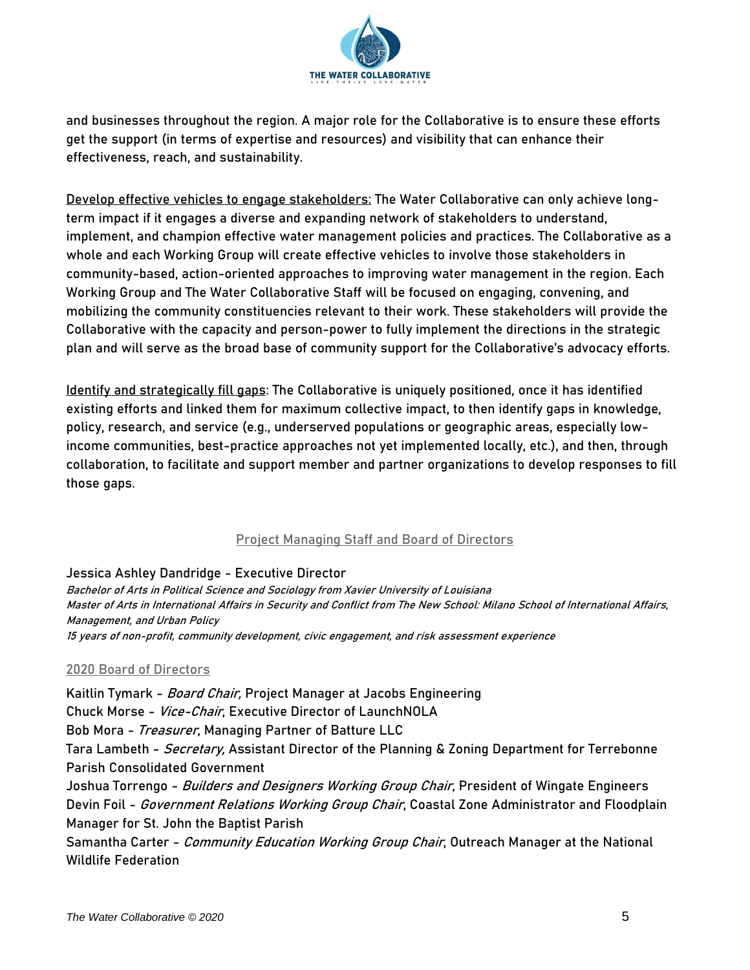

and businesses throughout the region. A major role for the Collaborative is to ensure these efforts get the support (in terms of expertise and resources) and visibility that can enhance their effectiveness, reach, and sustainability.

Develop effective vehicles to engage stakeholders: The Water Collaborative can only achieve longterm impact if it engages a diverse and expanding network of stakeholders to understand, implement, and champion effective water management policies and practices. The Collaborative as a whole and each Working Group will create effective vehicles to involve those stakeholders in community-based, action-oriented approaches to improving water management in the region. Each Working Group and The Water Collaborative Staff will be focused on engaging, convening, and mobilizing the community constituencies relevant to their work. These stakeholders will provide the Collaborative with the capacity and person-power to fully implement the directions in the strategic plan and will serve as the broad base of community support for the Collaborative's advocacy efforts.

Identify and strategically fill gaps: The Collaborative is uniquely positioned, once it has identified existing efforts and linked them for maximum collective impact, to then identify gaps in knowledge, policy, research, and service (e.g., underserved populations or geographic areas, especially lowincome communities, best-practice approaches not yet implemented locally, etc.), and then, through collaboration, to facilitate and support member and partner organizations to develop responses to fill those gaps.

# Project Managing Staff and Board of Directors

### Jessica Ashley Dandridge - Executive Director

Bachelor of Arts in Political Science and Sociology from Xavier University of Louisiana Master of Arts in International Affairs in Security and Conflict from The New School: Milano School of International Affairs, Management, and Urban Policy 15 years of non-profit, community development, civic engagement, and risk assessment experience

### 2020 Board of Directors

Kaitlin Tymark - Board Chair, Project Manager at Jacobs Engineering Chuck Morse - Vice-Chair, Executive Director of LaunchNOLA Bob Mora - Treasurer, Managing Partner of Batture LLC Tara Lambeth - *Secretary,* Assistant Director of the Planning & Zoning Department for Terrebonne Parish Consolidated Government Joshua Torrengo - Builders and Designers Working Group Chair, President of Wingate Engineers Devin Foil - *Government Relations Working Group Chair*, Coastal Zone Administrator and Floodplain Manager for St. John the Baptist Parish Samantha Carter - Community Education Working Group Chair, Outreach Manager at the National Wildlife Federation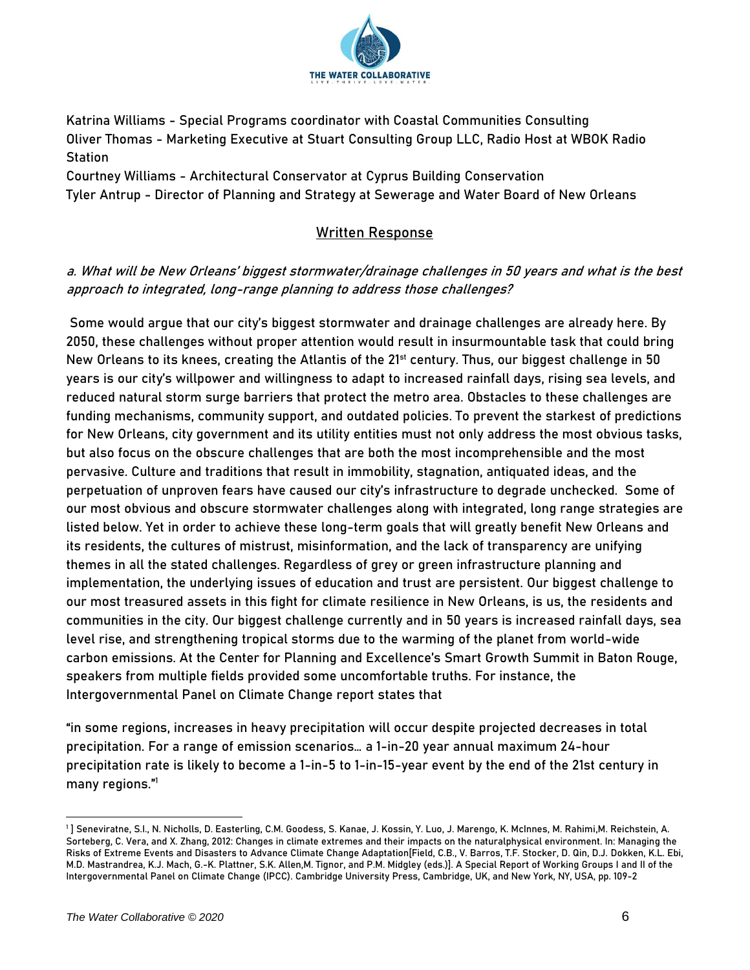

Katrina Williams - Special Programs coordinator with Coastal Communities Consulting Oliver Thomas - Marketing Executive at Stuart Consulting Group LLC, Radio Host at WBOK Radio **Station** 

Courtney Williams - Architectural Conservator at Cyprus Building Conservation Tyler Antrup - Director of Planning and Strategy at Sewerage and Water Board of New Orleans

# Written Response

# a. What will be New Orleans' biggest stormwater/drainage challenges in 50 years and what is the best approach to integrated, long-range planning to address those challenges?

Some would argue that our city's biggest stormwater and drainage challenges are already here. By 2050, these challenges without proper attention would result in insurmountable task that could bring New Orleans to its knees, creating the Atlantis of the 21<sup>st</sup> century. Thus, our biggest challenge in 50 years is our city's willpower and willingness to adapt to increased rainfall days, rising sea levels, and reduced natural storm surge barriers that protect the metro area. Obstacles to these challenges are funding mechanisms, community support, and outdated policies. To prevent the starkest of predictions for New Orleans, city government and its utility entities must not only address the most obvious tasks, but also focus on the obscure challenges that are both the most incomprehensible and the most pervasive. Culture and traditions that result in immobility, stagnation, antiquated ideas, and the perpetuation of unproven fears have caused our city's infrastructure to degrade unchecked. Some of our most obvious and obscure stormwater challenges along with integrated, long range strategies are listed below. Yet in order to achieve these long-term goals that will greatly benefit New Orleans and its residents, the cultures of mistrust, misinformation, and the lack of transparency are unifying themes in all the stated challenges. Regardless of grey or green infrastructure planning and implementation, the underlying issues of education and trust are persistent. Our biggest challenge to our most treasured assets in this fight for climate resilience in New Orleans, is us, the residents and communities in the city. Our biggest challenge currently and in 50 years is increased rainfall days, sea level rise, and strengthening tropical storms due to the warming of the planet from world-wide carbon emissions. At the Center for Planning and Excellence's Smart Growth Summit in Baton Rouge, speakers from multiple fields provided some uncomfortable truths. For instance, the Intergovernmental Panel on Climate Change report states that

"in some regions, increases in heavy precipitation will occur despite projected decreases in total precipitation. For a range of emission scenarios… a 1-in-20 year annual maximum 24-hour precipitation rate is likely to become a 1-in-5 to 1-in-15-year event by the end of the 21st century in many regions."<sup>1</sup>

<sup>1</sup> ] Seneviratne, S.I., N. Nicholls, D. Easterling, C.M. Goodess, S. Kanae, J. Kossin, Y. Luo, J. Marengo, K. McInnes, M. Rahimi,M. Reichstein, A. Sorteberg, C. Vera, and X. Zhang, 2012: Changes in climate extremes and their impacts on the naturalphysical environment. In: Managing the Risks of Extreme Events and Disasters to Advance Climate Change Adaptation[Field, C.B., V. Barros, T.F. Stocker, D. Qin, D.J. Dokken, K.L. Ebi, M.D. Mastrandrea, K.J. Mach, G.-K. Plattner, S.K. Allen,M. Tignor, and P.M. Midgley (eds.)]. A Special Report of Working Groups I and II of the Intergovernmental Panel on Climate Change (IPCC). Cambridge University Press, Cambridge, UK, and New York, NY, USA, pp. 109-2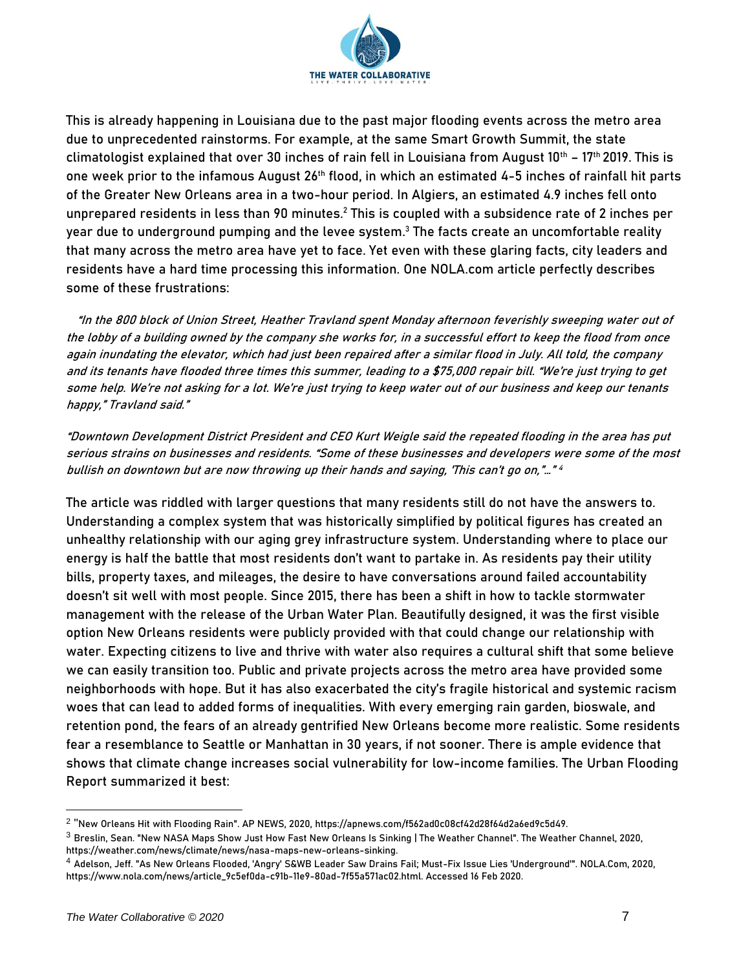

This is already happening in Louisiana due to the past major flooding events across the metro area due to unprecedented rainstorms. For example, at the same Smart Growth Summit, the state climatologist explained that over 30 inches of rain fell in Louisiana from August 10<sup>th</sup> - 17<sup>th</sup> 2019. This is one week prior to the infamous August 26<sup>th</sup> flood, in which an estimated 4-5 inches of rainfall hit parts of the Greater New Orleans area in a two-hour period. In Algiers, an estimated 4.9 inches fell onto unprepared residents in less than 90 minutes. $^2$  This is coupled with a subsidence rate of 2 inches per year due to underground pumping and the levee system. <sup>3</sup> The facts create an uncomfortable reality that many across the metro area have yet to face. Yet even with these glaring facts, city leaders and residents have a hard time processing this information. One NOLA.com article perfectly describes some of these frustrations:

 "In the 800 block of Union Street, Heather Travland spent Monday afternoon feverishly sweeping water out of the lobby of a building owned by the company she works for, in a successful effort to keep the flood from once again inundating the elevator, which had just been repaired after a similar flood in July. All told, the company and its tenants have flooded three times this summer, leading to a \$75,000 repair bill. "We're just trying to get some help. We're not asking for a lot. We're just trying to keep water out of our business and keep our tenants happy," Travland said."

"Downtown Development District President and CEO Kurt Weigle said the repeated flooding in the area has put serious strains on businesses and residents. "Some of these businesses and developers were some of the most bullish on downtown but are now throwing up their hands and saying, 'This can't go on,"…" 4

The article was riddled with larger questions that many residents still do not have the answers to. Understanding a complex system that was historically simplified by political figures has created an unhealthy relationship with our aging grey infrastructure system. Understanding where to place our energy is half the battle that most residents don't want to partake in. As residents pay their utility bills, property taxes, and mileages, the desire to have conversations around failed accountability doesn't sit well with most people. Since 2015, there has been a shift in how to tackle stormwater management with the release of the Urban Water Plan. Beautifully designed, it was the first visible option New Orleans residents were publicly provided with that could change our relationship with water. Expecting citizens to live and thrive with water also requires a cultural shift that some believe we can easily transition too. Public and private projects across the metro area have provided some neighborhoods with hope. But it has also exacerbated the city's fragile historical and systemic racism woes that can lead to added forms of inequalities. With every emerging rain garden, bioswale, and retention pond, the fears of an already gentrified New Orleans become more realistic. Some residents fear a resemblance to Seattle or Manhattan in 30 years, if not sooner. There is ample evidence that shows that climate change increases social vulnerability for low-income families. The Urban Flooding Report summarized it best:

<sup>2</sup> "New Orleans Hit with Flooding Rain". AP NEWS, 2020, https://apnews.com/f562ad0c08cf42d28f64d2a6ed9c5d49.

<sup>3</sup> Breslin, Sean. "New NASA Maps Show Just How Fast New Orleans Is Sinking | The Weather Channel". The Weather Channel, 2020, https://weather.com/news/climate/news/nasa-maps-new-orleans-sinking.

<sup>4</sup> Adelson, Jeff. "As New Orleans Flooded, 'Angry' S&WB Leader Saw Drains Fail; Must-Fix Issue Lies 'Underground'". NOLA.Com, 2020, https://www.nola.com/news/article\_9c5ef0da-c91b-11e9-80ad-7f55a571ac02.html. Accessed 16 Feb 2020.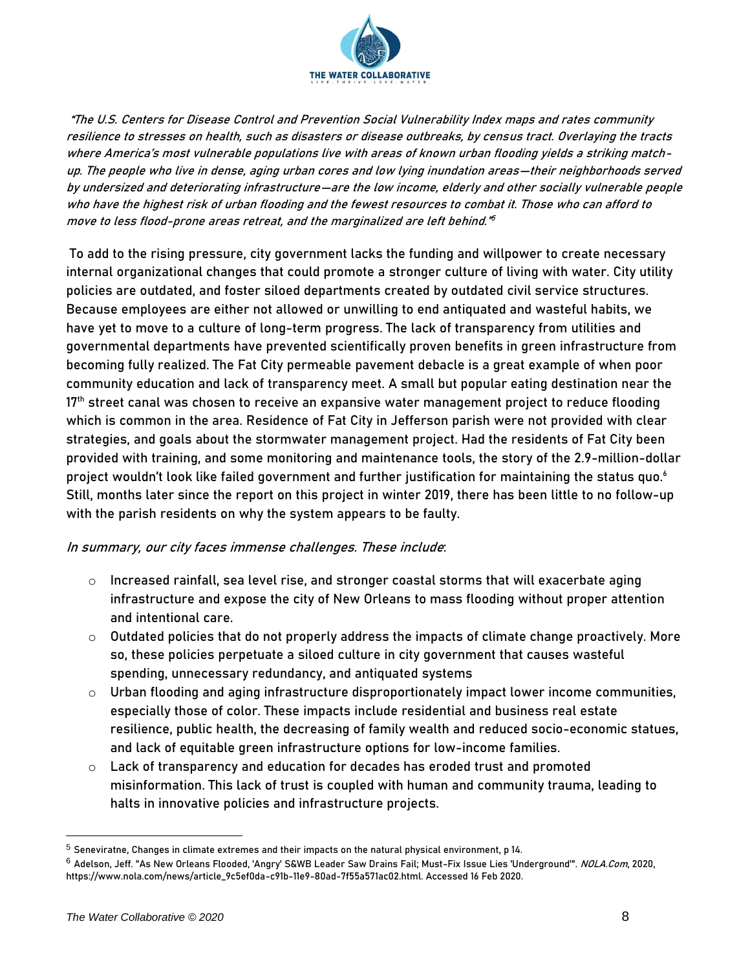

"The U.S. Centers for Disease Control and Prevention Social Vulnerability Index maps and rates community resilience to stresses on health, such as disasters or disease outbreaks, by census tract. Overlaying the tracts where America's most vulnerable populations live with areas of known urban flooding yields a striking matchup. The people who live in dense, aging urban cores and low lying inundation areas—their neighborhoods served by undersized and deteriorating infrastructure—are the low income, elderly and other socially vulnerable people who have the highest risk of urban flooding and the fewest resources to combat it. Those who can afford to move to less flood-prone areas retreat, and the marginalized are left behind." 5

To add to the rising pressure, city government lacks the funding and willpower to create necessary internal organizational changes that could promote a stronger culture of living with water. City utility policies are outdated, and foster siloed departments created by outdated civil service structures. Because employees are either not allowed or unwilling to end antiquated and wasteful habits, we have yet to move to a culture of long-term progress. The lack of transparency from utilities and governmental departments have prevented scientifically proven benefits in green infrastructure from becoming fully realized. The Fat City permeable pavement debacle is a great example of when poor community education and lack of transparency meet. A small but popular eating destination near the  $17<sup>th</sup>$  street canal was chosen to receive an expansive water management project to reduce flooding which is common in the area. Residence of Fat City in Jefferson parish were not provided with clear strategies, and goals about the stormwater management project. Had the residents of Fat City been provided with training, and some monitoring and maintenance tools, the story of the 2.9-million-dollar project wouldn't look like failed government and further justification for maintaining the status quo. $^{\rm 6}$ Still, months later since the report on this project in winter 2019, there has been little to no follow-up with the parish residents on why the system appears to be faulty.

# In summary, our city faces immense challenges. These include:

- $\circ$  Increased rainfall, sea level rise, and stronger coastal storms that will exacerbate aging infrastructure and expose the city of New Orleans to mass flooding without proper attention and intentional care.
- $\circ$  Outdated policies that do not properly address the impacts of climate change proactively. More so, these policies perpetuate a siloed culture in city government that causes wasteful spending, unnecessary redundancy, and antiquated systems
- $\circ$  Urban flooding and aging infrastructure disproportionately impact lower income communities, especially those of color. These impacts include residential and business real estate resilience, public health, the decreasing of family wealth and reduced socio-economic statues, and lack of equitable green infrastructure options for low-income families.
- o Lack of transparency and education for decades has eroded trust and promoted misinformation. This lack of trust is coupled with human and community trauma, leading to halts in innovative policies and infrastructure projects.

<sup>5</sup> Seneviratne, Changes in climate extremes and their impacts on the natural physical environment, p 14.

 $^6$  Adelson, Jeff. "As New Orleans Flooded, 'Angry' S&WB Leader Saw Drains Fail; Must-Fix Issue Lies 'Underground'". *NOLA.Com*, 2020, https://www.nola.com/news/article\_9c5ef0da-c91b-11e9-80ad-7f55a571ac02.html. Accessed 16 Feb 2020.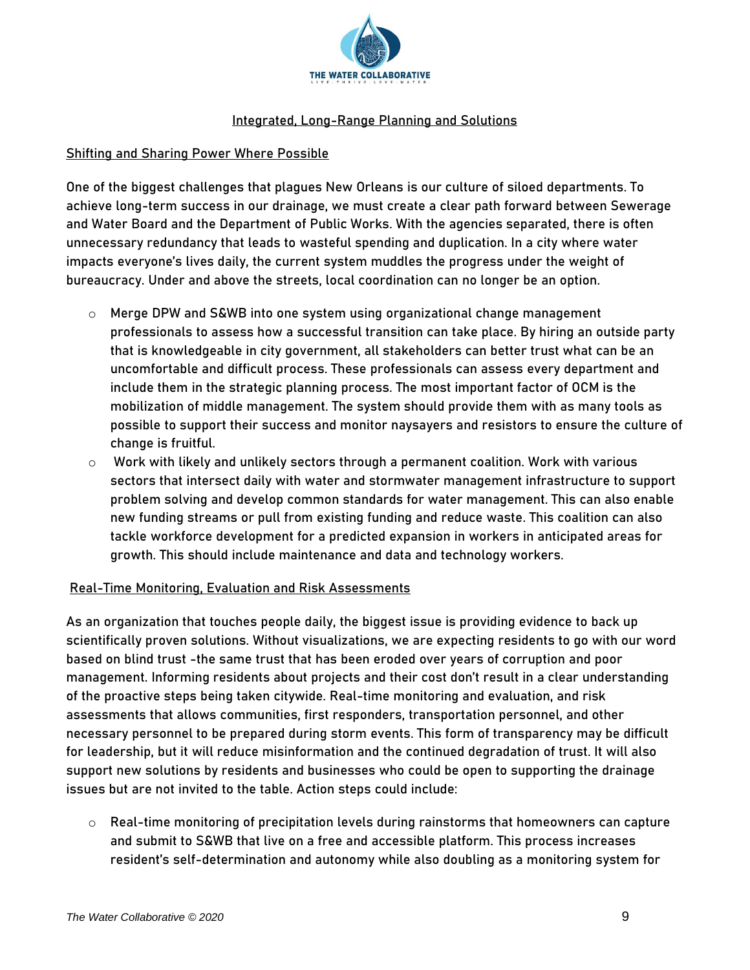

# Integrated, Long-Range Planning and Solutions

### Shifting and Sharing Power Where Possible

One of the biggest challenges that plagues New Orleans is our culture of siloed departments. To achieve long-term success in our drainage, we must create a clear path forward between Sewerage and Water Board and the Department of Public Works. With the agencies separated, there is often unnecessary redundancy that leads to wasteful spending and duplication. In a city where water impacts everyone's lives daily, the current system muddles the progress under the weight of bureaucracy. Under and above the streets, local coordination can no longer be an option.

- $\circ$  Merge DPW and S&WB into one system using organizational change management professionals to assess how a successful transition can take place. By hiring an outside party that is knowledgeable in city government, all stakeholders can better trust what can be an uncomfortable and difficult process. These professionals can assess every department and include them in the strategic planning process. The most important factor of OCM is the mobilization of middle management. The system should provide them with as many tools as possible to support their success and monitor naysayers and resistors to ensure the culture of change is fruitful.
- $\circ$  Work with likely and unlikely sectors through a permanent coalition. Work with various sectors that intersect daily with water and stormwater management infrastructure to support problem solving and develop common standards for water management. This can also enable new funding streams or pull from existing funding and reduce waste. This coalition can also tackle workforce development for a predicted expansion in workers in anticipated areas for growth. This should include maintenance and data and technology workers.

# Real-Time Monitoring, Evaluation and Risk Assessments

As an organization that touches people daily, the biggest issue is providing evidence to back up scientifically proven solutions. Without visualizations, we are expecting residents to go with our word based on blind trust -the same trust that has been eroded over years of corruption and poor management. Informing residents about projects and their cost don't result in a clear understanding of the proactive steps being taken citywide. Real-time monitoring and evaluation, and risk assessments that allows communities, first responders, transportation personnel, and other necessary personnel to be prepared during storm events. This form of transparency may be difficult for leadership, but it will reduce misinformation and the continued degradation of trust. It will also support new solutions by residents and businesses who could be open to supporting the drainage issues but are not invited to the table. Action steps could include:

o Real-time monitoring of precipitation levels during rainstorms that homeowners can capture and submit to S&WB that live on a free and accessible platform. This process increases resident's self-determination and autonomy while also doubling as a monitoring system for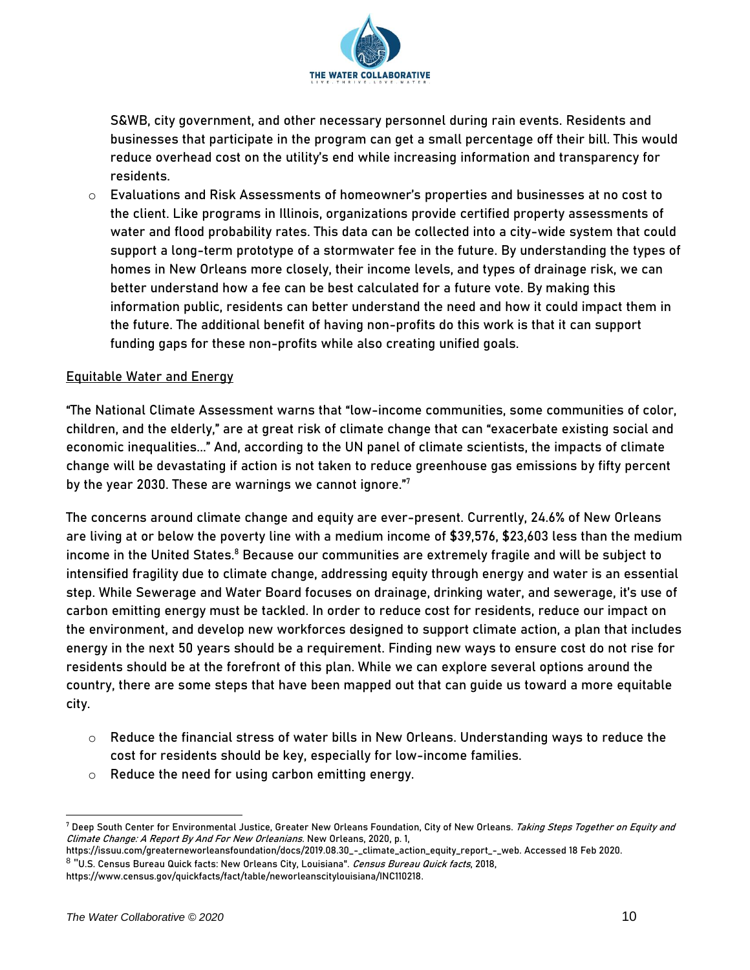

S&WB, city government, and other necessary personnel during rain events. Residents and businesses that participate in the program can get a small percentage off their bill. This would reduce overhead cost on the utility's end while increasing information and transparency for residents.

 $\circ$  Evaluations and Risk Assessments of homeowner's properties and businesses at no cost to the client. Like programs in Illinois, organizations provide certified property assessments of water and flood probability rates. This data can be collected into a city-wide system that could support a long-term prototype of a stormwater fee in the future. By understanding the types of homes in New Orleans more closely, their income levels, and types of drainage risk, we can better understand how a fee can be best calculated for a future vote. By making this information public, residents can better understand the need and how it could impact them in the future. The additional benefit of having non-profits do this work is that it can support funding gaps for these non-profits while also creating unified goals.

# Equitable Water and Energy

"The National Climate Assessment warns that "low-income communities, some communities of color, children, and the elderly," are at great risk of climate change that can "exacerbate existing social and economic inequalities..." And, according to the UN panel of climate scientists, the impacts of climate change will be devastating if action is not taken to reduce greenhouse gas emissions by fifty percent by the year 2030. These are warnings we cannot ignore." 7

The concerns around climate change and equity are ever-present. Currently, 24.6% of New Orleans are living at or below the poverty line with a medium income of \$39,576, \$23,603 less than the medium income in the United States. <sup>8</sup> Because our communities are extremely fragile and will be subject to intensified fragility due to climate change, addressing equity through energy and water is an essential step. While Sewerage and Water Board focuses on drainage, drinking water, and sewerage, it's use of carbon emitting energy must be tackled. In order to reduce cost for residents, reduce our impact on the environment, and develop new workforces designed to support climate action, a plan that includes energy in the next 50 years should be a requirement. Finding new ways to ensure cost do not rise for residents should be at the forefront of this plan. While we can explore several options around the country, there are some steps that have been mapped out that can guide us toward a more equitable city.

- $\circ$  Reduce the financial stress of water bills in New Orleans. Understanding ways to reduce the cost for residents should be key, especially for low-income families.
- o Reduce the need for using carbon emitting energy.

<sup>7</sup> Deep South Center for Environmental Justice, Greater New Orleans Foundation, City of New Orleans. Taking Steps Together on Equity and Climate Change: A Report By And For New Orleanians. New Orleans, 2020, p. 1,

https://issuu.com/greaterneworleansfoundation/docs/2019.08.30\_-\_climate\_action\_equity\_report\_-\_web. Accessed 18 Feb 2020. <sup>8</sup> "U.S. Census Bureau Quick facts: New Orleans City, Louisiana". *Census Bureau Quick facts*, 2018, https://www.census.gov/quickfacts/fact/table/neworleanscitylouisiana/INC110218.